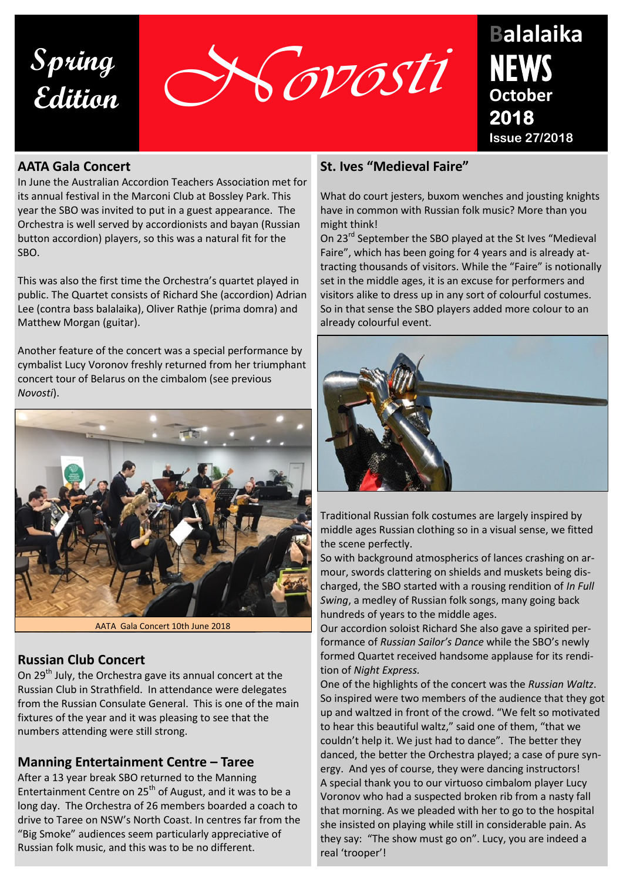**Spring**



# **Balalaika October 2018 Issue 27/2018**

#### **AATA Gala Concert**

In June the Australian Accordion Teachers Association met for its annual festival in the Marconi Club at Bossley Park. This year the SBO was invited to put in a guest appearance. The Orchestra is well served by accordionists and bayan (Russian button accordion) players, so this was a natural fit for the SBO.

This was also the first time the Orchestra's quartet played in public. The Quartet consists of Richard She (accordion) Adrian Lee (contra bass balalaika), Oliver Rathje (prima domra) and Matthew Morgan (guitar).

Another feature of the concert was a special performance by cymbalist Lucy Voronov freshly returned from her triumphant concert tour of Belarus on the cimbalom (see previous *Novosti*).



AATA Gala Concert 10th June 2018

# **SAD Quartet Playing Night Express at the AATA Gala Concert**

On 29<sup>th</sup> July, the Orchestra gave its annual concert at the Russian Club in Strathfield. In attendance were delegates from the Russian Consulate General. This is one of the main fixtures of the year and it was pleasing to see that the numbers attending were still strong.

## **Manning Entertainment Centre – Taree**

After a 13 year break SBO returned to the Manning Entertainment Centre on 25<sup>th</sup> of August, and it was to be a long day. The Orchestra of 26 members boarded a coach to drive to Taree on NSW's North Coast. In centres far from the "Big Smoke" audiences seem particularly appreciative of Russian folk music, and this was to be no different.

## **St. Ives "Medieval Faire"**

What do court jesters, buxom wenches and jousting knights have in common with Russian folk music? More than you might think!

On 23<sup>rd</sup> September the SBO played at the St Ives "Medieval Faire", which has been going for 4 years and is already attracting thousands of visitors. While the "Faire" is notionally set in the middle ages, it is an excuse for performers and visitors alike to dress up in any sort of colourful costumes. So in that sense the SBO players added more colour to an already colourful event.



Traditional Russian folk costumes are largely inspired by middle ages Russian clothing so in a visual sense, we fitted the scene perfectly.

So with background atmospherics of lances crashing on armour, swords clattering on shields and muskets being discharged, the SBO started with a rousing rendition of *In Full Swing*, a medley of Russian folk songs, many going back hundreds of years to the middle ages.

Our accordion soloist Richard She also gave a spirited performance of *Russian Sailor's Dance* while the SBO's newly formed Quartet received handsome applause for its rendition of *Night Express.*

One of the highlights of the concert was the *Russian Waltz*. So inspired were two members of the audience that they got up and waltzed in front of the crowd. "We felt so motivated to hear this beautiful waltz," said one of them, "that we couldn't help it. We just had to dance". The better they danced, the better the Orchestra played; a case of pure synergy. And yes of course, they were dancing instructors! A special thank you to our virtuoso cimbalom player Lucy Voronov who had a suspected broken rib from a nasty fall that morning. As we pleaded with her to go to the hospital she insisted on playing while still in considerable pain. As they say: "The show must go on". Lucy, you are indeed a real 'trooper'!